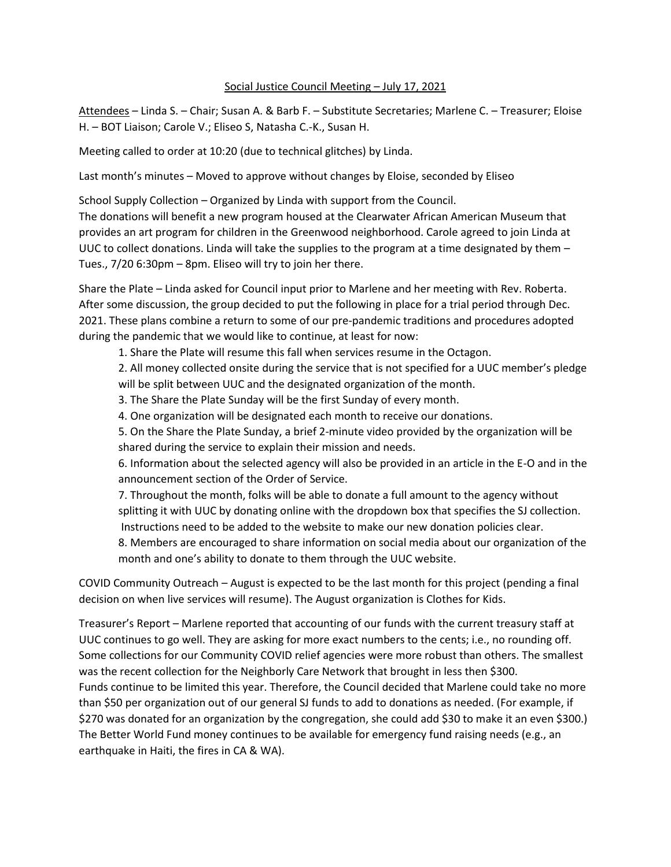## Social Justice Council Meeting – July 17, 2021

Attendees – Linda S. – Chair; Susan A. & Barb F. – Substitute Secretaries; Marlene C. – Treasurer; Eloise H. – BOT Liaison; Carole V.; Eliseo S, Natasha C.-K., Susan H.

Meeting called to order at 10:20 (due to technical glitches) by Linda.

Last month's minutes – Moved to approve without changes by Eloise, seconded by Eliseo

School Supply Collection – Organized by Linda with support from the Council.

The donations will benefit a new program housed at the Clearwater African American Museum that provides an art program for children in the Greenwood neighborhood. Carole agreed to join Linda at UUC to collect donations. Linda will take the supplies to the program at a time designated by them – Tues., 7/20 6:30pm – 8pm. Eliseo will try to join her there.

Share the Plate – Linda asked for Council input prior to Marlene and her meeting with Rev. Roberta. After some discussion, the group decided to put the following in place for a trial period through Dec. 2021. These plans combine a return to some of our pre-pandemic traditions and procedures adopted during the pandemic that we would like to continue, at least for now:

1. Share the Plate will resume this fall when services resume in the Octagon.

2. All money collected onsite during the service that is not specified for a UUC member's pledge will be split between UUC and the designated organization of the month.

3. The Share the Plate Sunday will be the first Sunday of every month.

4. One organization will be designated each month to receive our donations.

5. On the Share the Plate Sunday, a brief 2-minute video provided by the organization will be shared during the service to explain their mission and needs.

6. Information about the selected agency will also be provided in an article in the E-O and in the announcement section of the Order of Service.

7. Throughout the month, folks will be able to donate a full amount to the agency without splitting it with UUC by donating online with the dropdown box that specifies the SJ collection. Instructions need to be added to the website to make our new donation policies clear.

8. Members are encouraged to share information on social media about our organization of the month and one's ability to donate to them through the UUC website.

COVID Community Outreach – August is expected to be the last month for this project (pending a final decision on when live services will resume). The August organization is Clothes for Kids.

Treasurer's Report – Marlene reported that accounting of our funds with the current treasury staff at UUC continues to go well. They are asking for more exact numbers to the cents; i.e., no rounding off. Some collections for our Community COVID relief agencies were more robust than others. The smallest was the recent collection for the Neighborly Care Network that brought in less then \$300. Funds continue to be limited this year. Therefore, the Council decided that Marlene could take no more than \$50 per organization out of our general SJ funds to add to donations as needed. (For example, if \$270 was donated for an organization by the congregation, she could add \$30 to make it an even \$300.) The Better World Fund money continues to be available for emergency fund raising needs (e.g., an earthquake in Haiti, the fires in CA & WA).